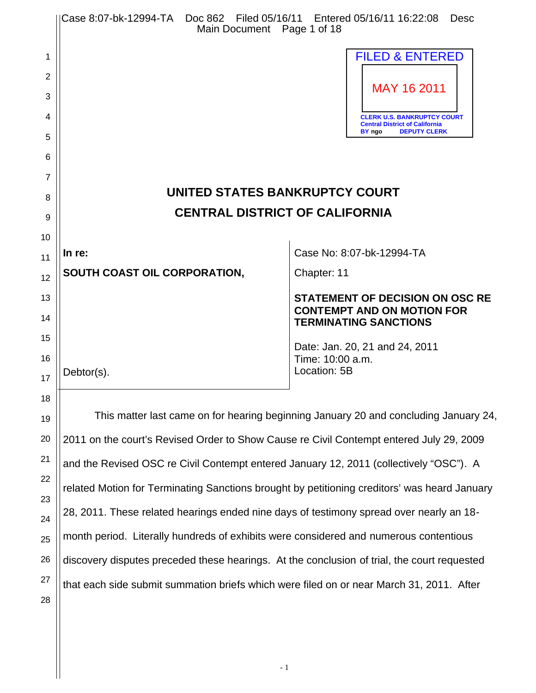|    | Case 8:07-bk-12994-TA  Doc 862  Filed 05/16/11  Entered 05/16/11  16:22:08<br>Main Document Page 1 of 18 | Desc                                                                        |  |  |
|----|----------------------------------------------------------------------------------------------------------|-----------------------------------------------------------------------------|--|--|
| 1  |                                                                                                          | <b>FILED &amp; ENTERED</b>                                                  |  |  |
| 2  |                                                                                                          |                                                                             |  |  |
| 3  |                                                                                                          | MAY 16 2011                                                                 |  |  |
| 4  |                                                                                                          | <b>CLERK U.S. BANKRUPTCY COURT</b><br><b>Central District of California</b> |  |  |
| 5  |                                                                                                          | BY ngo<br><b>DEPUTY CLERK</b>                                               |  |  |
| 6  |                                                                                                          |                                                                             |  |  |
| 7  |                                                                                                          |                                                                             |  |  |
| 8  | UNITED STATES BANKRUPTCY COURT<br><b>CENTRAL DISTRICT OF CALIFORNIA</b>                                  |                                                                             |  |  |
| 9  |                                                                                                          |                                                                             |  |  |
| 10 | In re:                                                                                                   | Case No: 8:07-bk-12994-TA                                                   |  |  |
| 11 | SOUTH COAST OIL CORPORATION,                                                                             | Chapter: 11                                                                 |  |  |
| 12 |                                                                                                          |                                                                             |  |  |
| 13 |                                                                                                          | <b>STATEMENT OF DECISION ON OSC RE</b><br><b>CONTEMPT AND ON MOTION FOR</b> |  |  |
| 14 |                                                                                                          | <b>TERMINATING SANCTIONS</b>                                                |  |  |
| 15 |                                                                                                          | Date: Jan. 20, 21 and 24, 2011                                              |  |  |
| 16 | Debtor(s).                                                                                               | Time: 10:00 a.m.<br>Location: 5B                                            |  |  |
| 17 |                                                                                                          |                                                                             |  |  |
| 18 |                                                                                                          |                                                                             |  |  |
| 19 | This matter last came on for hearing beginning January 20 and concluding January 24,                     |                                                                             |  |  |
| 20 | 2011 on the court's Revised Order to Show Cause re Civil Contempt entered July 29, 2009                  |                                                                             |  |  |
| 21 | and the Revised OSC re Civil Contempt entered January 12, 2011 (collectively "OSC"). A                   |                                                                             |  |  |

related Motion for Terminating Sanctions brought by petitioning creditors' was heard January

28, 2011. These related hearings ended nine days of testimony spread over nearly an 18-

month period. Literally hundreds of exhibits were considered and numerous contentious

discovery disputes preceded these hearings. At the conclusion of trial, the court requested

that each side submit summation briefs which were filed on or near March 31, 2011. After

22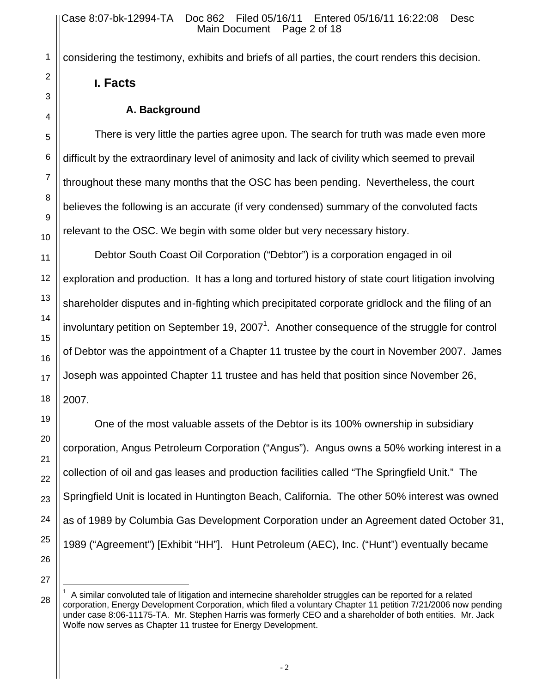considering the testimony, exhibits and briefs of all parties, the court renders this decision.

## **I. Facts**

## **A. Background**

There is very little the parties agree upon. The search for truth was made even more difficult by the extraordinary level of animosity and lack of civility which seemed to prevail throughout these many months that the OSC has been pending. Nevertheless, the court believes the following is an accurate (if very condensed) summary of the convoluted facts relevant to the OSC. We begin with some older but very necessary history.

Debtor South Coast Oil Corporation ("Debtor") is a corporation engaged in oil exploration and production. It has a long and tortured history of state court litigation involving shareholder disputes and in-fighting which precipitated corporate gridlock and the filing of an involuntary petition on September 19, 2007<sup>1</sup>. Another consequence of the struggle for control of Debtor was the appointment of a Chapter 11 trustee by the court in November 2007. James Joseph was appointed Chapter 11 trustee and has held that position since November 26, 2007.

One of the most valuable assets of the Debtor is its 100% ownership in subsidiary corporation, Angus Petroleum Corporation ("Angus"). Angus owns a 50% working interest in a collection of oil and gas leases and production facilities called "The Springfield Unit." The Springfield Unit is located in Huntington Beach, California. The other 50% interest was owned as of 1989 by Columbia Gas Development Corporation under an Agreement dated October 31, 1989 ("Agreement") [Exhibit "HH"]. Hunt Petroleum (AEC), Inc. ("Hunt") eventually became

 $\overline{a}$ 

 $1$  A similar convoluted tale of litigation and internecine shareholder struggles can be reported for a related corporation, Energy Development Corporation, which filed a voluntary Chapter 11 petition 7/21/2006 now pending under case 8:06-11175-TA. Mr. Stephen Harris was formerly CEO and a shareholder of both entities. Mr. Jack Wolfe now serves as Chapter 11 trustee for Energy Development.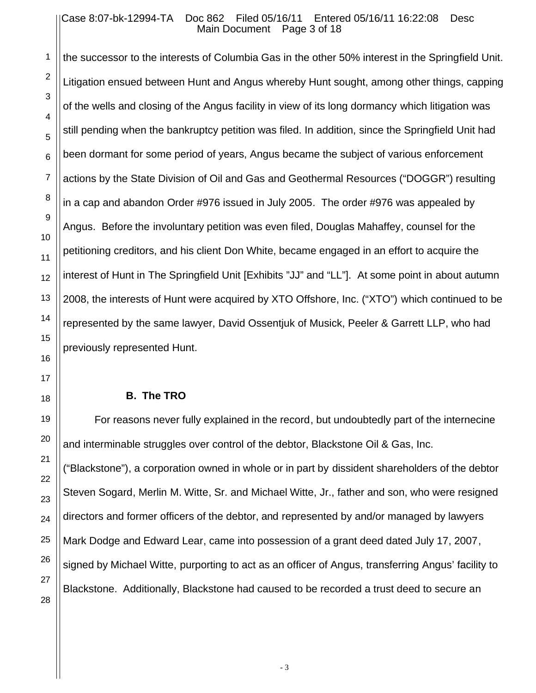#### Case 8:07-bk-12994-TA Doc 862 Filed 05/16/11 Entered 05/16/11 16:22:08 Desc Main Document Page 3 of 18

the successor to the interests of Columbia Gas in the other 50% interest in the Springfield Unit. Litigation ensued between Hunt and Angus whereby Hunt sought, among other things, capping of the wells and closing of the Angus facility in view of its long dormancy which litigation was still pending when the bankruptcy petition was filed. In addition, since the Springfield Unit had been dormant for some period of years, Angus became the subject of various enforcement actions by the State Division of Oil and Gas and Geothermal Resources ("DOGGR") resulting in a cap and abandon Order #976 issued in July 2005. The order #976 was appealed by Angus. Before the involuntary petition was even filed, Douglas Mahaffey, counsel for the petitioning creditors, and his client Don White, became engaged in an effort to acquire the interest of Hunt in The Springfield Unit [Exhibits "JJ" and "LL"]. At some point in about autumn 2008, the interests of Hunt were acquired by XTO Offshore, Inc. ("XTO") which continued to be represented by the same lawyer, David Ossentjuk of Musick, Peeler & Garrett LLP, who had previously represented Hunt.

#### **B. The TRO**

For reasons never fully explained in the record, but undoubtedly part of the internecine and interminable struggles over control of the debtor, Blackstone Oil & Gas, Inc. ("Blackstone"), a corporation owned in whole or in part by dissident shareholders of the debtor Steven Sogard, Merlin M. Witte, Sr. and Michael Witte, Jr., father and son, who were resigned directors and former officers of the debtor, and represented by and/or managed by lawyers Mark Dodge and Edward Lear, came into possession of a grant deed dated July 17, 2007, signed by Michael Witte, purporting to act as an officer of Angus, transferring Angus' facility to Blackstone. Additionally, Blackstone had caused to be recorded a trust deed to secure an

1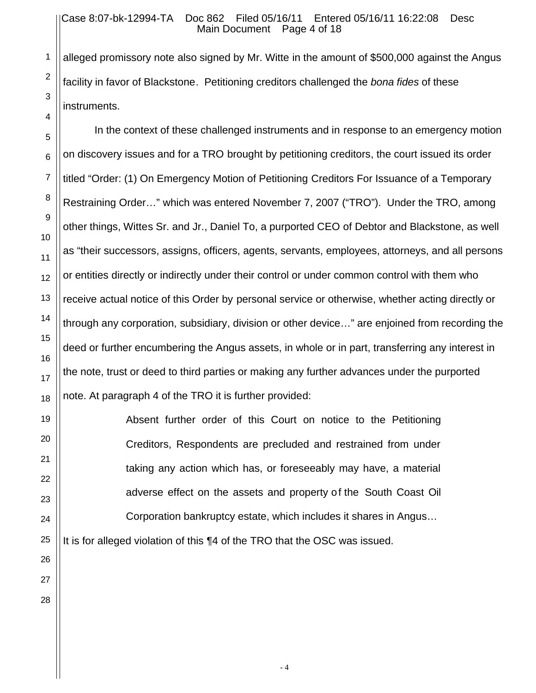#### Case 8:07-bk-12994-TA Doc 862 Filed 05/16/11 Entered 05/16/11 16:22:08 Desc Main Document Page 4 of 18

alleged promissory note also signed by Mr. Witte in the amount of \$500,000 against the Angus facility in favor of Blackstone. Petitioning creditors challenged the *bona fides* of these instruments.

In the context of these challenged instruments and in response to an emergency motion on discovery issues and for a TRO brought by petitioning creditors, the court issued its order titled "Order: (1) On Emergency Motion of Petitioning Creditors For Issuance of a Temporary Restraining Order…" which was entered November 7, 2007 ("TRO"). Under the TRO, among other things, Wittes Sr. and Jr., Daniel To, a purported CEO of Debtor and Blackstone, as well as "their successors, assigns, officers, agents, servants, employees, attorneys, and all persons or entities directly or indirectly under their control or under common control with them who receive actual notice of this Order by personal service or otherwise, whether acting directly or through any corporation, subsidiary, division or other device…" are enjoined from recording the deed or further encumbering the Angus assets, in whole or in part, transferring any interest in the note, trust or deed to third parties or making any further advances under the purported note. At paragraph 4 of the TRO it is further provided:

> Absent further order of this Court on notice to the Petitioning Creditors, Respondents are precluded and restrained from under taking any action which has, or foreseeably may have, a material adverse effect on the assets and property of the South Coast Oil Corporation bankruptcy estate, which includes it shares in Angus…

It is for alleged violation of this ¶4 of the TRO that the OSC was issued.

1

2

3

4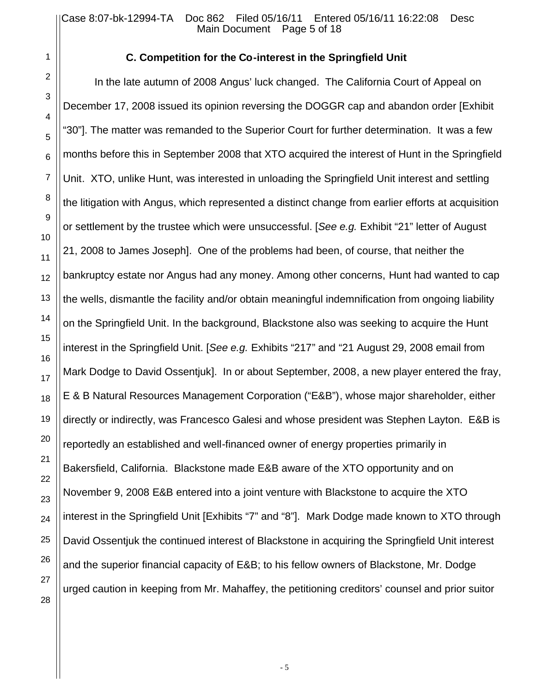28

### **C. Competition for the Co-interest in the Springfield Unit**

In the late autumn of 2008 Angus' luck changed. The California Court of Appeal on December 17, 2008 issued its opinion reversing the DOGGR cap and abandon order [Exhibit "30"]. The matter was remanded to the Superior Court for further determination. It was a few months before this in September 2008 that XTO acquired the interest of Hunt in the Springfield Unit. XTO, unlike Hunt, was interested in unloading the Springfield Unit interest and settling the litigation with Angus, which represented a distinct change from earlier efforts at acquisition or settlement by the trustee which were unsuccessful. [*See e.g.* Exhibit "21" letter of August 21, 2008 to James Joseph]. One of the problems had been, of course, that neither the bankruptcy estate nor Angus had any money. Among other concerns, Hunt had wanted to cap the wells, dismantle the facility and/or obtain meaningful indemnification from ongoing liability on the Springfield Unit. In the background, Blackstone also was seeking to acquire the Hunt interest in the Springfield Unit. [*See e.g.* Exhibits "217" and "21 August 29, 2008 email from Mark Dodge to David Ossentjuk]. In or about September, 2008, a new player entered the fray, E & B Natural Resources Management Corporation ("E&B"), whose major shareholder, either directly or indirectly, was Francesco Galesi and whose president was Stephen Layton. E&B is reportedly an established and well-financed owner of energy properties primarily in Bakersfield, California. Blackstone made E&B aware of the XTO opportunity and on November 9, 2008 E&B entered into a joint venture with Blackstone to acquire the XTO interest in the Springfield Unit [Exhibits "7" and "8"]. Mark Dodge made known to XTO through David Ossentjuk the continued interest of Blackstone in acquiring the Springfield Unit interest and the superior financial capacity of E&B; to his fellow owners of Blackstone, Mr. Dodge urged caution in keeping from Mr. Mahaffey, the petitioning creditors' counsel and prior suitor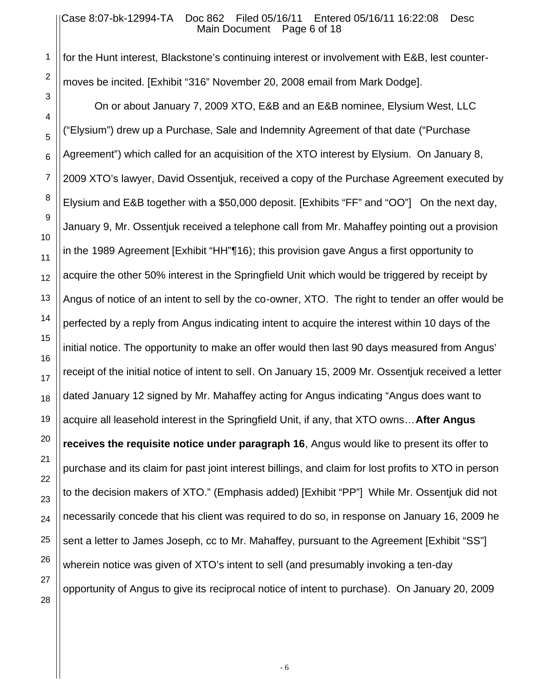#### Case 8:07-bk-12994-TA Doc 862 Filed 05/16/11 Entered 05/16/11 16:22:08 Desc Main Document Page 6 of 18

for the Hunt interest, Blackstone's continuing interest or involvement with E&B, lest countermoves be incited. [Exhibit "316" November 20, 2008 email from Mark Dodge].

On or about January 7, 2009 XTO, E&B and an E&B nominee, Elysium West, LLC ("Elysium") drew up a Purchase, Sale and Indemnity Agreement of that date ("Purchase Agreement") which called for an acquisition of the XTO interest by Elysium. On January 8, 2009 XTO's lawyer, David Ossentjuk, received a copy of the Purchase Agreement executed by Elysium and E&B together with a \$50,000 deposit. [Exhibits "FF" and "OO"] On the next day, January 9, Mr. Ossentjuk received a telephone call from Mr. Mahaffey pointing out a provision in the 1989 Agreement [Exhibit "HH"¶16); this provision gave Angus a first opportunity to acquire the other 50% interest in the Springfield Unit which would be triggered by receipt by Angus of notice of an intent to sell by the co-owner, XTO. The right to tender an offer would be perfected by a reply from Angus indicating intent to acquire the interest within 10 days of the initial notice. The opportunity to make an offer would then last 90 days measured from Angus' receipt of the initial notice of intent to sell. On January 15, 2009 Mr. Ossentjuk received a letter dated January 12 signed by Mr. Mahaffey acting for Angus indicating "Angus does want to acquire all leasehold interest in the Springfield Unit, if any, that XTO owns…**After Angus receives the requisite notice under paragraph 16**, Angus would like to present its offer to purchase and its claim for past joint interest billings, and claim for lost profits to XTO in person to the decision makers of XTO." (Emphasis added) [Exhibit "PP"] While Mr. Ossentjuk did not necessarily concede that his client was required to do so, in response on January 16, 2009 he sent a letter to James Joseph, cc to Mr. Mahaffey, pursuant to the Agreement [Exhibit "SS"] wherein notice was given of XTO's intent to sell (and presumably invoking a ten-day opportunity of Angus to give its reciprocal notice of intent to purchase). On January 20, 2009

1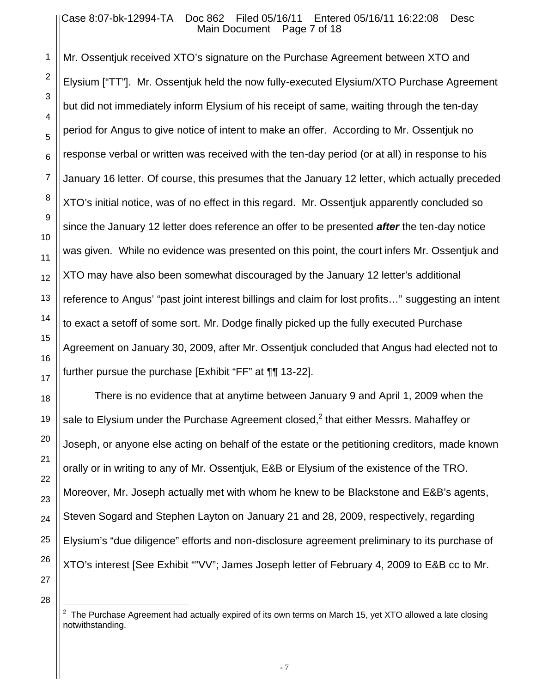Mr. Ossentjuk received XTO's signature on the Purchase Agreement between XTO and Elysium ["TT"]. Mr. Ossentjuk held the now fully-executed Elysium/XTO Purchase Agreement but did not immediately inform Elysium of his receipt of same, waiting through the ten-day period for Angus to give notice of intent to make an offer. According to Mr. Ossentjuk no response verbal or written was received with the ten-day period (or at all) in response to his January 16 letter. Of course, this presumes that the January 12 letter, which actually preceded XTO's initial notice, was of no effect in this regard. Mr. Ossentjuk apparently concluded so since the January 12 letter does reference an offer to be presented *after* the ten-day notice was given. While no evidence was presented on this point, the court infers Mr. Ossentjuk and XTO may have also been somewhat discouraged by the January 12 letter's additional reference to Angus' "past joint interest billings and claim for lost profits…" suggesting an intent to exact a setoff of some sort. Mr. Dodge finally picked up the fully executed Purchase Agreement on January 30, 2009, after Mr. Ossentjuk concluded that Angus had elected not to further pursue the purchase [Exhibit "FF" at ¶¶ 13-22].

There is no evidence that at anytime between January 9 and April 1, 2009 when the sale to Elysium under the Purchase Agreement closed, $^2$  that either Messrs. Mahaffey or Joseph, or anyone else acting on behalf of the estate or the petitioning creditors, made known orally or in writing to any of Mr. Ossentjuk, E&B or Elysium of the existence of the TRO. Moreover, Mr. Joseph actually met with whom he knew to be Blackstone and E&B's agents, Steven Sogard and Stephen Layton on January 21 and 28, 2009, respectively, regarding Elysium's "due diligence" efforts and non-disclosure agreement preliminary to its purchase of XTO's interest [See Exhibit ""VV"; James Joseph letter of February 4, 2009 to E&B cc to Mr.

28

 $\overline{a}$ 

1

2

3

4

5

6

7

8

9

10

11

12

13

14

15

16

17

18

19

20

21

22

23

24

25

26

 $2$  The Purchase Agreement had actually expired of its own terms on March 15, yet XTO allowed a late closing notwithstanding.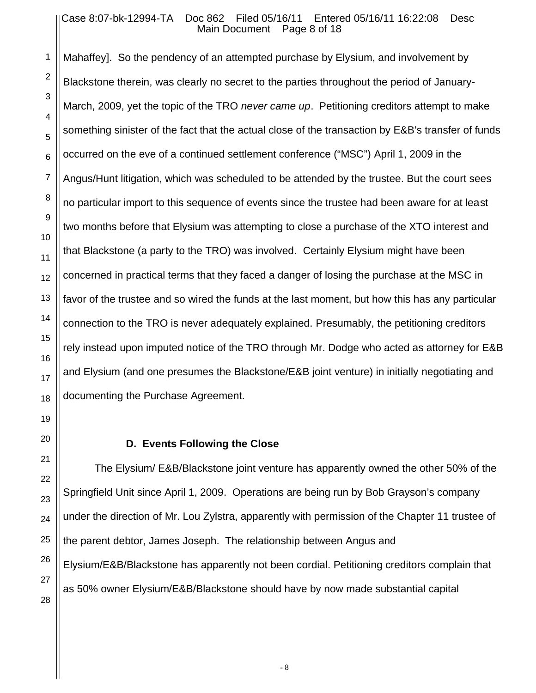#### Case 8:07-bk-12994-TA Doc 862 Filed 05/16/11 Entered 05/16/11 16:22:08 Desc Main Document Page 8 of 18

Mahaffey]. So the pendency of an attempted purchase by Elysium, and involvement by Blackstone therein, was clearly no secret to the parties throughout the period of January-March, 2009, yet the topic of the TRO *never came up*. Petitioning creditors attempt to make something sinister of the fact that the actual close of the transaction by E&B's transfer of funds occurred on the eve of a continued settlement conference ("MSC") April 1, 2009 in the Angus/Hunt litigation, which was scheduled to be attended by the trustee. But the court sees no particular import to this sequence of events since the trustee had been aware for at least two months before that Elysium was attempting to close a purchase of the XTO interest and that Blackstone (a party to the TRO) was involved. Certainly Elysium might have been concerned in practical terms that they faced a danger of losing the purchase at the MSC in favor of the trustee and so wired the funds at the last moment, but how this has any particular connection to the TRO is never adequately explained. Presumably, the petitioning creditors rely instead upon imputed notice of the TRO through Mr. Dodge who acted as attorney for E&B and Elysium (and one presumes the Blackstone/E&B joint venture) in initially negotiating and documenting the Purchase Agreement.

#### **D. Events Following the Close**

The Elysium/ E&B/Blackstone joint venture has apparently owned the other 50% of the Springfield Unit since April 1, 2009. Operations are being run by Bob Grayson's company under the direction of Mr. Lou Zylstra, apparently with permission of the Chapter 11 trustee of the parent debtor, James Joseph. The relationship between Angus and Elysium/E&B/Blackstone has apparently not been cordial. Petitioning creditors complain that as 50% owner Elysium/E&B/Blackstone should have by now made substantial capital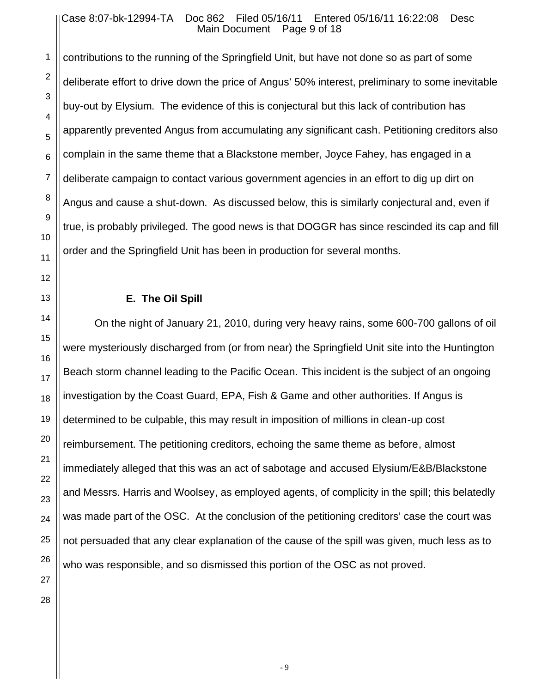#### Case 8:07-bk-12994-TA Doc 862 Filed 05/16/11 Entered 05/16/11 16:22:08 Desc Main Document Page 9 of 18

contributions to the running of the Springfield Unit, but have not done so as part of some deliberate effort to drive down the price of Angus' 50% interest, preliminary to some inevitable buy-out by Elysium. The evidence of this is conjectural but this lack of contribution has apparently prevented Angus from accumulating any significant cash. Petitioning creditors also complain in the same theme that a Blackstone member, Joyce Fahey, has engaged in a deliberate campaign to contact various government agencies in an effort to dig up dirt on Angus and cause a shut-down. As discussed below, this is similarly conjectural and, even if true, is probably privileged. The good news is that DOGGR has since rescinded its cap and fill order and the Springfield Unit has been in production for several months.

### **E. The Oil Spill**

On the night of January 21, 2010, during very heavy rains, some 600-700 gallons of oil were mysteriously discharged from (or from near) the Springfield Unit site into the Huntington Beach storm channel leading to the Pacific Ocean. This incident is the subject of an ongoing investigation by the Coast Guard, EPA, Fish & Game and other authorities. If Angus is determined to be culpable, this may result in imposition of millions in clean-up cost reimbursement. The petitioning creditors, echoing the same theme as before, almost immediately alleged that this was an act of sabotage and accused Elysium/E&B/Blackstone and Messrs. Harris and Woolsey, as employed agents, of complicity in the spill; this belatedly was made part of the OSC. At the conclusion of the petitioning creditors' case the court was not persuaded that any clear explanation of the cause of the spill was given, much less as to who was responsible, and so dismissed this portion of the OSC as not proved.

1

2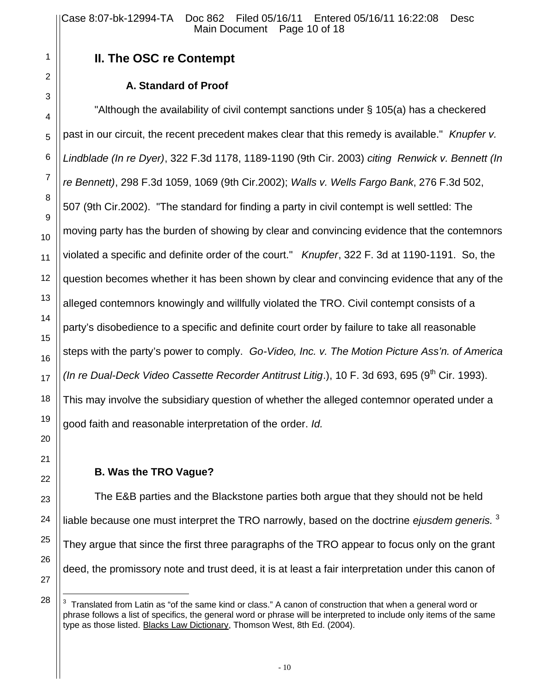# **II. The OSC re Contempt**

## **A. Standard of Proof**

"Although the availability of civil contempt sanctions under § 105(a) has a checkered past in our circuit, the recent precedent makes clear that this remedy is available." *Knupfer v. Lindblade (In re Dyer)*, 322 F.3d 1178, 1189-1190 (9th Cir. 2003) *citing Renwick v. Bennett (In re Bennett)*, 298 F.3d 1059, 1069 (9th Cir.2002); *Walls v. Wells Fargo Bank*, 276 F.3d 502, 507 (9th Cir.2002). "The standard for finding a party in civil contempt is well settled: The moving party has the burden of showing by clear and convincing evidence that the contemnors violated a specific and definite order of the court." *Knupfer*, 322 F. 3d at 1190-1191. So, the question becomes whether it has been shown by clear and convincing evidence that any of the alleged contemnors knowingly and willfully violated the TRO. Civil contempt consists of a party's disobedience to a specific and definite court order by failure to take all reasonable steps with the party's power to comply. *Go-Video, Inc. v. The Motion Picture Ass'n. of America (In re Dual-Deck Video Cassette Recorder Antitrust Litig.*), 10 F. 3d 693, 695 (9<sup>th</sup> Cir. 1993). This may involve the subsidiary question of whether the alleged contemnor operated under a good faith and reasonable interpretation of the order. *Id.*

## **B. Was the TRO Vague?**

The E&B parties and the Blackstone parties both argue that they should not be held liable because one must interpret the TRO narrowly, based on the doctrine *ejusdem generis.* 3 They argue that since the first three paragraphs of the TRO appear to focus only on the grant deed, the promissory note and trust deed, it is at least a fair interpretation under this canon of

 $\overline{a}$ 

 $3$  Translated from Latin as "of the same kind or class." A canon of construction that when a general word or phrase follows a list of specifics, the general word or phrase will be interpreted to include only items of the same type as those listed. Blacks Law Dictionary, Thomson West, 8th Ed. (2004).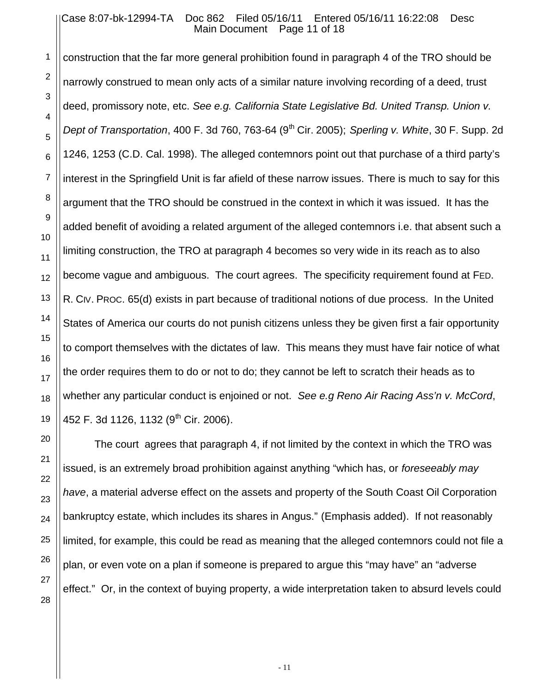#### Case 8:07-bk-12994-TA Doc 862 Filed 05/16/11 Entered 05/16/11 16:22:08 Desc Main Document Page 11 of 18

construction that the far more general prohibition found in paragraph 4 of the TRO should be narrowly construed to mean only acts of a similar nature involving recording of a deed, trust deed, promissory note, etc. *See e.g. California State Legislative Bd. United Transp. Union v. Dept of Transportation, 400 F. 3d 760, 763-64 (9<sup>th</sup> Cir. 2005); <i>Sperling v. White, 30 F. Supp. 2d* 1246, 1253 (C.D. Cal. 1998). The alleged contemnors point out that purchase of a third party's interest in the Springfield Unit is far afield of these narrow issues. There is much to say for this argument that the TRO should be construed in the context in which it was issued. It has the added benefit of avoiding a related argument of the alleged contemnors i.e. that absent such a limiting construction, the TRO at paragraph 4 becomes so very wide in its reach as to also become vague and ambiguous. The court agrees. The specificity requirement found at FED. R. CIV. PROC. 65(d) exists in part because of traditional notions of due process. In the United States of America our courts do not punish citizens unless they be given first a fair opportunity to comport themselves with the dictates of law. This means they must have fair notice of what the order requires them to do or not to do; they cannot be left to scratch their heads as to whether any particular conduct is enjoined or not. *See e.g Reno Air Racing Ass'n v. McCord*, 452 F. 3d 1126, 1132 (9<sup>th</sup> Cir. 2006).

The court agrees that paragraph 4, if not limited by the context in which the TRO was issued, is an extremely broad prohibition against anything "which has, or *foreseeably may have*, a material adverse effect on the assets and property of the South Coast Oil Corporation bankruptcy estate, which includes its shares in Angus." (Emphasis added). If not reasonably limited, for example, this could be read as meaning that the alleged contemnors could not file a plan, or even vote on a plan if someone is prepared to argue this "may have" an "adverse effect." Or, in the context of buying property, a wide interpretation taken to absurd levels could

1

2

3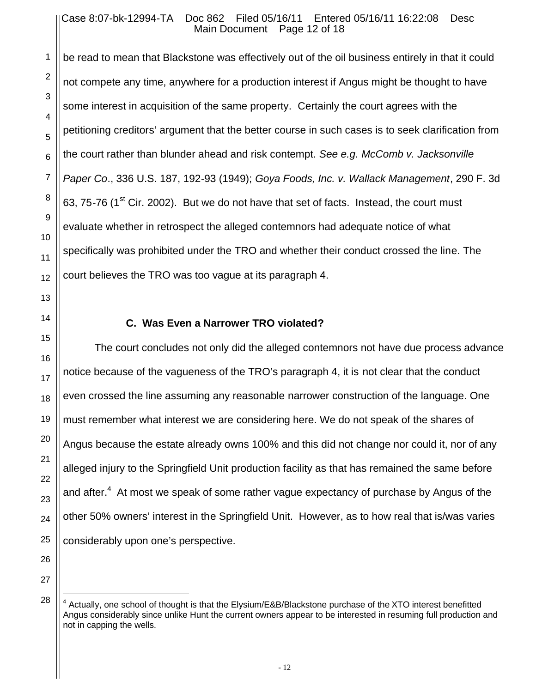#### Case 8:07-bk-12994-TA Doc 862 Filed 05/16/11 Entered 05/16/11 16:22:08 Desc Main Document Page 12 of 18

be read to mean that Blackstone was effectively out of the oil business entirely in that it could not compete any time, anywhere for a production interest if Angus might be thought to have some interest in acquisition of the same property. Certainly the court agrees with the petitioning creditors' argument that the better course in such cases is to seek clarification from the court rather than blunder ahead and risk contempt. *See e.g. McComb v. Jacksonville Paper Co*., 336 U.S. 187, 192-93 (1949); *Goya Foods, Inc. v. Wallack Management*, 290 F. 3d 63, 75-76 (1<sup>st</sup> Cir. 2002). But we do not have that set of facts. Instead, the court must evaluate whether in retrospect the alleged contemnors had adequate notice of what specifically was prohibited under the TRO and whether their conduct crossed the line. The court believes the TRO was too vague at its paragraph 4.

### **C. Was Even a Narrower TRO violated?**

The court concludes not only did the alleged contemnors not have due process advance notice because of the vagueness of the TRO's paragraph 4, it is not clear that the conduct even crossed the line assuming any reasonable narrower construction of the language. One must remember what interest we are considering here. We do not speak of the shares of Angus because the estate already owns 100% and this did not change nor could it, nor of any alleged injury to the Springfield Unit production facility as that has remained the same before and after.<sup>4</sup> At most we speak of some rather vague expectancy of purchase by Angus of the other 50% owners' interest in the Springfield Unit. However, as to how real that is/was varies considerably upon one's perspective.

 $\overline{a}$ 

<sup>&</sup>lt;sup>4</sup> Actually, one school of thought is that the Elysium/E&B/Blackstone purchase of the XTO interest benefitted Angus considerably since unlike Hunt the current owners appear to be interested in resuming full production and not in capping the wells.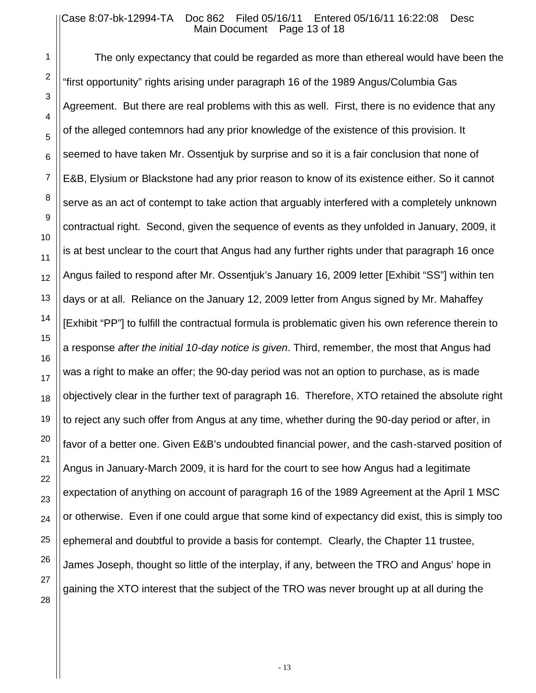#### Case 8:07-bk-12994-TA Doc 862 Filed 05/16/11 Entered 05/16/11 16:22:08 Desc Main Document Page 13 of 18

1

2

3

4

5

6

7

8

9

10

11

12

13

14

15

16

17

18

19

20

21

22

23

24

25

26

27

28

The only expectancy that could be regarded as more than ethereal would have been the "first opportunity" rights arising under paragraph 16 of the 1989 Angus/Columbia Gas Agreement. But there are real problems with this as well. First, there is no evidence that any of the alleged contemnors had any prior knowledge of the existence of this provision. It seemed to have taken Mr. Ossentjuk by surprise and so it is a fair conclusion that none of E&B, Elysium or Blackstone had any prior reason to know of its existence either. So it cannot serve as an act of contempt to take action that arguably interfered with a completely unknown contractual right. Second, given the sequence of events as they unfolded in January, 2009, it is at best unclear to the court that Angus had any further rights under that paragraph 16 once Angus failed to respond after Mr. Ossentjuk's January 16, 2009 letter [Exhibit "SS"] within ten days or at all. Reliance on the January 12, 2009 letter from Angus signed by Mr. Mahaffey [Exhibit "PP"] to fulfill the contractual formula is problematic given his own reference therein to a response *after the initial 10-day notice is given*. Third, remember, the most that Angus had was a right to make an offer; the 90-day period was not an option to purchase, as is made objectively clear in the further text of paragraph 16. Therefore, XTO retained the absolute right to reject any such offer from Angus at any time, whether during the 90-day period or after, in favor of a better one. Given E&B's undoubted financial power, and the cash-starved position of Angus in January-March 2009, it is hard for the court to see how Angus had a legitimate expectation of anything on account of paragraph 16 of the 1989 Agreement at the April 1 MSC or otherwise. Even if one could argue that some kind of expectancy did exist, this is simply too ephemeral and doubtful to provide a basis for contempt. Clearly, the Chapter 11 trustee, James Joseph, thought so little of the interplay, if any, between the TRO and Angus' hope in gaining the XTO interest that the subject of the TRO was never brought up at all during the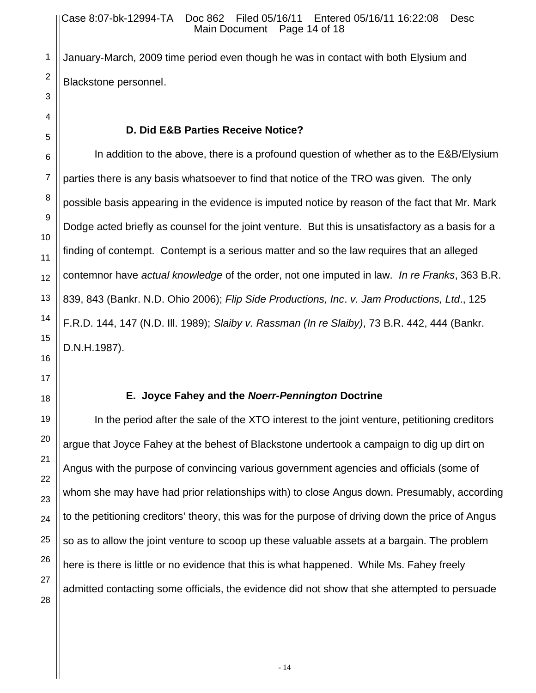January-March, 2009 time period even though he was in contact with both Elysium and Blackstone personnel.

### **D. Did E&B Parties Receive Notice?**

In addition to the above, there is a profound question of whether as to the E&B/Elysium parties there is any basis whatsoever to find that notice of the TRO was given. The only possible basis appearing in the evidence is imputed notice by reason of the fact that Mr. Mark Dodge acted briefly as counsel for the joint venture. But this is unsatisfactory as a basis for a finding of contempt. Contempt is a serious matter and so the law requires that an alleged contemnor have *actual knowledge* of the order, not one imputed in law. *In re Franks*, 363 B.R. 839, 843 (Bankr. N.D. Ohio 2006); *Flip Side Productions, Inc*. *v. Jam Productions, Ltd*., 125 F.R.D. 144, 147 (N.D. Ill. 1989); *Slaiby v. Rassman (In re Slaiby)*, 73 B.R. 442, 444 (Bankr. D.N.H.1987).

### **E. Joyce Fahey and the** *Noerr-Pennington* **Doctrine**

In the period after the sale of the XTO interest to the joint venture, petitioning creditors argue that Joyce Fahey at the behest of Blackstone undertook a campaign to dig up dirt on Angus with the purpose of convincing various government agencies and officials (some of whom she may have had prior relationships with) to close Angus down. Presumably, according to the petitioning creditors' theory, this was for the purpose of driving down the price of Angus so as to allow the joint venture to scoop up these valuable assets at a bargain. The problem here is there is little or no evidence that this is what happened. While Ms. Fahey freely admitted contacting some officials, the evidence did not show that she attempted to persuade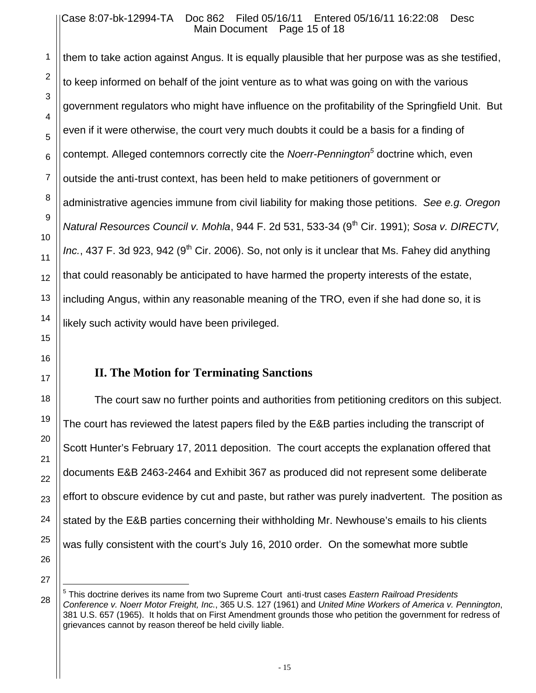#### Case 8:07-bk-12994-TA Doc 862 Filed 05/16/11 Entered 05/16/11 16:22:08 Desc Main Document Page 15 of 18

them to take action against Angus. It is equally plausible that her purpose was as she testified, to keep informed on behalf of the joint venture as to what was going on with the various government regulators who might have influence on the profitability of the Springfield Unit. But even if it were otherwise, the court very much doubts it could be a basis for a finding of contempt. Alleged contemnors correctly cite the *Noerr-Pennington<sup>5</sup>* doctrine which, even outside the anti-trust context, has been held to make petitioners of government or administrative agencies immune from civil liability for making those petitions. *See e.g. Oregon Natural Resources Council v. Mohla*, 944 F. 2d 531, 533-34 (9th Cir. 1991); *Sosa v. DIRECTV, Inc.*, 437 F. 3d 923, 942 (9<sup>th</sup> Cir. 2006). So, not only is it unclear that Ms. Fahey did anything that could reasonably be anticipated to have harmed the property interests of the estate, including Angus, within any reasonable meaning of the TRO, even if she had done so, it is likely such activity would have been privileged.

## **II. The Motion for Terminating Sanctions**

The court saw no further points and authorities from petitioning creditors on this subject. The court has reviewed the latest papers filed by the E&B parties including the transcript of Scott Hunter's February 17, 2011 deposition. The court accepts the explanation offered that documents E&B 2463-2464 and Exhibit 367 as produced did not represent some deliberate effort to obscure evidence by cut and paste, but rather was purely inadvertent. The position as stated by the E&B parties concerning their withholding Mr. Newhouse's emails to his clients was fully consistent with the court's July 16, 2010 order. On the somewhat more subtle

 $\overline{a}$ 

<sup>5</sup> This doctrine derives its name from two Supreme Court anti-trust cases *Eastern Railroad Presidents Conference v. Noerr Motor Freight, Inc.*, 365 U.S. 127 (1961) and *United Mine Workers of America v. Pennington*, 381 U.S. 657 (1965). It holds that on First Amendment grounds those who petition the government for redress of grievances cannot by reason thereof be held civilly liable.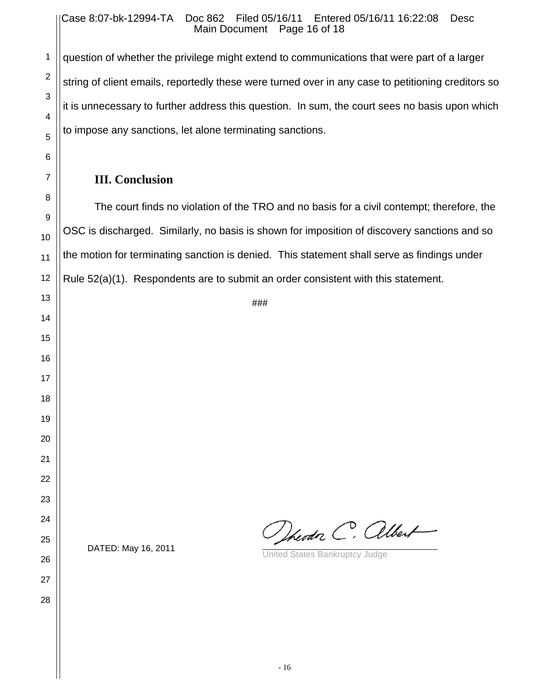#### Case 8:07-bk-12994-TA Doc 862 Filed 05/16/11 Entered 05/16/11 16:22:08 Desc Main Document Page 16 of 18

question of whether the privilege might extend to communications that were part of a larger string of client emails, reportedly these were turned over in any case to petitioning creditors so it is unnecessary to further address this question. In sum, the court sees no basis upon which to impose any sanctions, let alone terminating sanctions.

### **III. Conclusion**

The court finds no violation of the TRO and no basis for a civil contempt; therefore, the OSC is discharged. Similarly, no basis is shown for imposition of discovery sanctions and so the motion for terminating sanction is denied. This statement shall serve as findings under Rule 52(a)(1). Respondents are to submit an order consistent with this statement.

###

Dheodor C. albert

DATED: May 16, 2011 **DATED:** May 16, 2011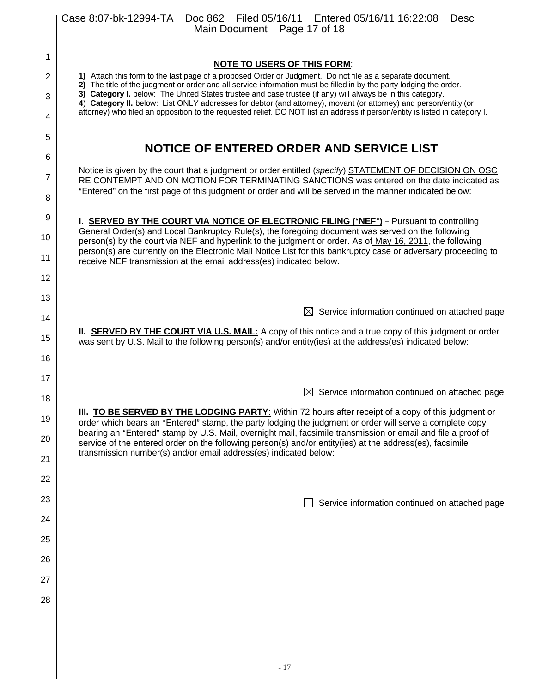|                | Case 8:07-bk-12994-TA  Doc 862  Filed 05/16/11  Entered 05/16/11  16:22:08<br><b>Desc</b><br>Main Document Page 17 of 18                                                                                                                                                                                     |  |  |
|----------------|--------------------------------------------------------------------------------------------------------------------------------------------------------------------------------------------------------------------------------------------------------------------------------------------------------------|--|--|
| 1              |                                                                                                                                                                                                                                                                                                              |  |  |
| $\overline{2}$ | <b>NOTE TO USERS OF THIS FORM:</b><br>1) Attach this form to the last page of a proposed Order or Judgment. Do not file as a separate document.                                                                                                                                                              |  |  |
| 3              | 2) The title of the judgment or order and all service information must be filled in by the party lodging the order.<br>3) Category I. below: The United States trustee and case trustee (if any) will always be in this category.                                                                            |  |  |
| 4              | 4) Category II. below: List ONLY addresses for debtor (and attorney), movant (or attorney) and person/entity (or<br>attorney) who filed an opposition to the requested relief. DO NOT list an address if person/entity is listed in category I.                                                              |  |  |
| 5              |                                                                                                                                                                                                                                                                                                              |  |  |
| 6              | NOTICE OF ENTERED ORDER AND SERVICE LIST                                                                                                                                                                                                                                                                     |  |  |
| 7              | Notice is given by the court that a judgment or order entitled (specify) STATEMENT OF DECISION ON OSC<br>RE CONTEMPT AND ON MOTION FOR TERMINATING SANCTIONS was entered on the date indicated as<br>"Entered" on the first page of this judgment or order and will be served in the manner indicated below: |  |  |
| 8              |                                                                                                                                                                                                                                                                                                              |  |  |
| 9<br>10        | I. <b>SERVED BY THE COURT VIA NOTICE OF ELECTRONIC FILING ("NEF")</b> - Pursuant to controlling<br>General Order(s) and Local Bankruptcy Rule(s), the foregoing document was served on the following                                                                                                         |  |  |
| 11             | person(s) by the court via NEF and hyperlink to the judgment or order. As of May 16, 2011, the following<br>person(s) are currently on the Electronic Mail Notice List for this bankruptcy case or adversary proceeding to<br>receive NEF transmission at the email address(es) indicated below.             |  |  |
| 12             |                                                                                                                                                                                                                                                                                                              |  |  |
| 13             |                                                                                                                                                                                                                                                                                                              |  |  |
| 14             | $\boxtimes$ Service information continued on attached page                                                                                                                                                                                                                                                   |  |  |
| 15             | II. <b>SERVED BY THE COURT VIA U.S. MAIL:</b> A copy of this notice and a true copy of this judgment or order<br>was sent by U.S. Mail to the following person(s) and/or entity(ies) at the address(es) indicated below:                                                                                     |  |  |
| 16             |                                                                                                                                                                                                                                                                                                              |  |  |
| 17             | $\boxtimes$ Service information continued on attached page                                                                                                                                                                                                                                                   |  |  |
| 18             | III. TO BE SERVED BY THE LODGING PARTY: Within 72 hours after receipt of a copy of this judgment or                                                                                                                                                                                                          |  |  |
| 19<br>20       | order which bears an "Entered" stamp, the party lodging the judgment or order will serve a complete copy<br>bearing an "Entered" stamp by U.S. Mail, overnight mail, facsimile transmission or email and file a proof of                                                                                     |  |  |
| 21             | service of the entered order on the following person(s) and/or entity(ies) at the address(es), facsimile<br>transmission number(s) and/or email address(es) indicated below:                                                                                                                                 |  |  |
| 22             |                                                                                                                                                                                                                                                                                                              |  |  |
| 23             | Service information continued on attached page                                                                                                                                                                                                                                                               |  |  |
| 24             |                                                                                                                                                                                                                                                                                                              |  |  |
| 25             |                                                                                                                                                                                                                                                                                                              |  |  |
| 26             |                                                                                                                                                                                                                                                                                                              |  |  |
| 27             |                                                                                                                                                                                                                                                                                                              |  |  |
| 28             |                                                                                                                                                                                                                                                                                                              |  |  |
|                |                                                                                                                                                                                                                                                                                                              |  |  |
|                |                                                                                                                                                                                                                                                                                                              |  |  |
|                | $-17$                                                                                                                                                                                                                                                                                                        |  |  |